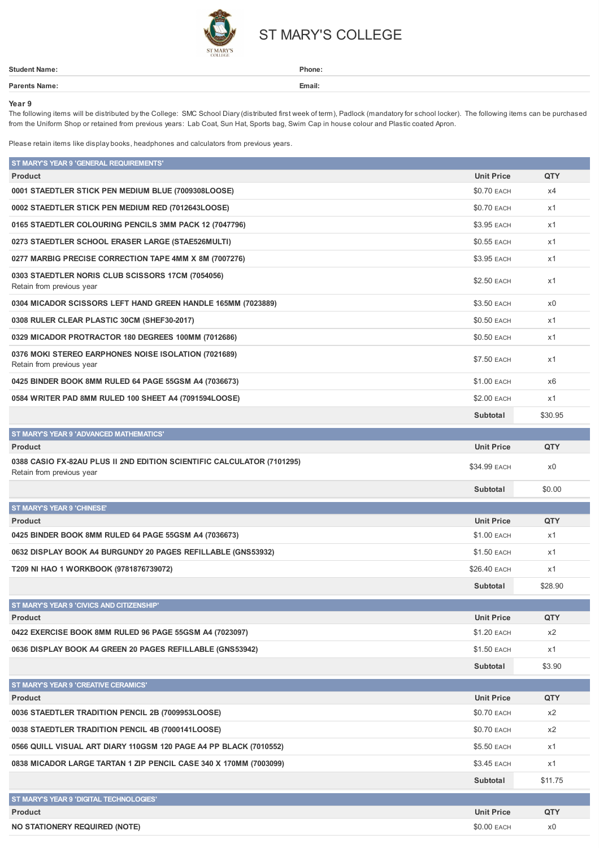

## ST MARY'S COLLEGE

| <b>Student Name:</b> | Phone: |
|----------------------|--------|
| Parents Name:        | Email: |
|                      |        |

## **Year 9**

The following items will be distributed by the College: SMC School Diary (distributed first week of term), Padlock (mandatory for school locker). The following items can be purchased from the Uniform Shop or retained from previous years: Lab Coat, Sun Hat, Sports bag, Swim Cap in house colour and Plastic coated Apron.

Please retain items like display books, headphones and calculators from previous years.

| ST MARY'S YEAR 9 'GENERAL REQUIREMENTS'<br><b>Product</b>                                           | <b>Unit Price</b>  | QTY     |
|-----------------------------------------------------------------------------------------------------|--------------------|---------|
| 0001 STAEDTLER STICK PEN MEDIUM BLUE (7009308LOOSE)                                                 | \$0.70 EACH        | x4      |
| 0002 STAEDTLER STICK PEN MEDIUM RED (7012643LOOSE)                                                  | \$0.70 EACH        | x1      |
| 0165 STAEDTLER COLOURING PENCILS 3MM PACK 12 (7047796)                                              | \$3.95 EACH        | x1      |
| 0273 STAEDTLER SCHOOL ERASER LARGE (STAE526MULTI)                                                   | \$0.55 EACH        | x1      |
| 0277 MARBIG PRECISE CORRECTION TAPE 4MM X 8M (7007276)                                              | \$3.95 EACH        | x1      |
| 0303 STAEDTLER NORIS CLUB SCISSORS 17CM (7054056)<br>Retain from previous year                      | \$2.50 EACH        | x1      |
| 0304 MICADOR SCISSORS LEFT HAND GREEN HANDLE 165MM (7023889)                                        | \$3.50 EACH        | x0      |
| 0308 RULER CLEAR PLASTIC 30CM (SHEF30-2017)                                                         | \$0.50 EACH        | x1      |
| 0329 MICADOR PROTRACTOR 180 DEGREES 100MM (7012686)                                                 | \$0.50 EACH        | x1      |
| 0376 MOKI STEREO EARPHONES NOISE ISOLATION (7021689)<br>Retain from previous year                   | <b>\$7.50 EACH</b> | x1      |
| 0425 BINDER BOOK 8MM RULED 64 PAGE 55GSM A4 (7036673)                                               | \$1.00 EACH        | x6      |
| 0584 WRITER PAD 8MM RULED 100 SHEET A4 (7091594LOOSE)                                               | \$2.00 EACH        | x1      |
|                                                                                                     | Subtotal           | \$30.95 |
| ST MARY'S YEAR 9 'ADVANCED MATHEMATICS'                                                             |                    |         |
| <b>Product</b>                                                                                      | <b>Unit Price</b>  | QTY     |
| 0388 CASIO FX-82AU PLUS II 2ND EDITION SCIENTIFIC CALCULATOR (7101295)<br>Retain from previous year | \$34.99 EACH       | x0      |
|                                                                                                     | Subtotal           | \$0.00  |
| <b>ST MARY'S YEAR 9 'CHINESE'</b>                                                                   |                    |         |
| <b>Product</b>                                                                                      | <b>Unit Price</b>  | QTY     |
| 0425 BINDER BOOK 8MM RULED 64 PAGE 55GSM A4 (7036673)                                               | \$1.00 EACH        | x1      |
| 0632 DISPLAY BOOK A4 BURGUNDY 20 PAGES REFILLABLE (GNS53932)                                        | \$1.50 EACH        | x1      |
| T209 NI HAO 1 WORKBOOK (9781876739072)                                                              | \$26.40 EACH       | x1      |
|                                                                                                     | Subtotal           | \$28.90 |
| ST MARY'S YEAR 9 'CIVICS AND CITIZENSHIP'                                                           |                    |         |
| Product                                                                                             | <b>Unit Price</b>  | QTY     |
| 0422 EXERCISE BOOK 8MM RULED 96 PAGE 55GSM A4 (7023097)                                             | \$1.20 EACH        | x2      |
| 0636 DISPLAY BOOK A4 GREEN 20 PAGES REFILLABLE (GNS53942)                                           | \$1.50 EACH        | x1      |
|                                                                                                     | Subtotal           | \$3.90  |
| ST MARY'S YEAR 9 'CREATIVE CERAMICS'                                                                |                    |         |
| <b>Product</b>                                                                                      | <b>Unit Price</b>  | QTY     |
| 0036 STAEDTLER TRADITION PENCIL 2B (7009953LOOSE)                                                   | \$0.70 EACH        | x2      |
| 0038 STAEDTLER TRADITION PENCIL 4B (7000141LOOSE)                                                   | \$0.70 EACH        | x2      |
| 0566 QUILL VISUAL ART DIARY 110GSM 120 PAGE A4 PP BLACK (7010552)                                   | \$5.50 EACH        | x1      |
| 0838 MICADOR LARGE TARTAN 1 ZIP PENCIL CASE 340 X 170MM (7003099)                                   | \$3.45 EACH        | x1      |
|                                                                                                     | Subtotal           | \$11.75 |
| ST MARY'S YEAR 9 'DIGITAL TECHNOLOGIES'                                                             |                    |         |
| <b>Product</b>                                                                                      | <b>Unit Price</b>  | QTY     |
| <b>NO STATIONERY REQUIRED (NOTE)</b>                                                                | \$0.00 EACH        | x0      |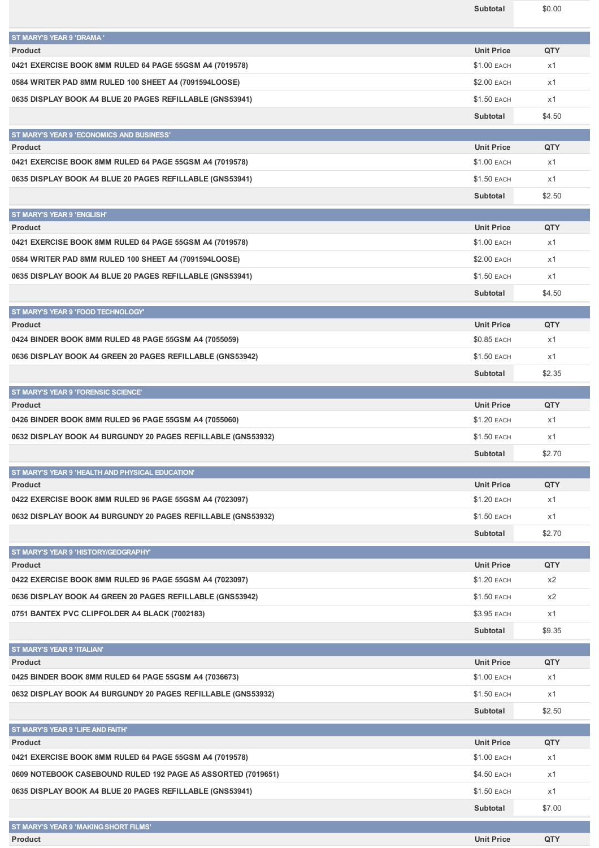| ST MARY'S YEAR 9 'DRAMA'                                           |                    |            |
|--------------------------------------------------------------------|--------------------|------------|
| <b>Product</b>                                                     | <b>Unit Price</b>  | <b>QTY</b> |
| 0421 EXERCISE BOOK 8MM RULED 64 PAGE 55GSM A4 (7019578)            | \$1.00 EACH        | x1         |
| 0584 WRITER PAD 8MM RULED 100 SHEET A4 (7091594LOOSE)              | \$2.00 EACH        | x1         |
| 0635 DISPLAY BOOK A4 BLUE 20 PAGES REFILLABLE (GNS53941)           | \$1.50 EACH        | x1         |
|                                                                    | Subtotal           | \$4.50     |
| ST MARY'S YEAR 9 'ECONOMICS AND BUSINESS'                          |                    |            |
| <b>Product</b>                                                     | <b>Unit Price</b>  | <b>QTY</b> |
| 0421 EXERCISE BOOK 8MM RULED 64 PAGE 55GSM A4 (7019578)            | \$1.00 EACH        | x1         |
| 0635 DISPLAY BOOK A4 BLUE 20 PAGES REFILLABLE (GNS53941)           | \$1.50 EACH        | x1         |
|                                                                    | Subtotal           | \$2.50     |
| <b>ST MARY'S YEAR 9 'ENGLISH'</b>                                  |                    |            |
| <b>Product</b>                                                     | <b>Unit Price</b>  | <b>QTY</b> |
| 0421 EXERCISE BOOK 8MM RULED 64 PAGE 55GSM A4 (7019578)            | \$1.00 EACH        | x1         |
| 0584 WRITER PAD 8MM RULED 100 SHEET A4 (7091594LOOSE)              | \$2.00 EACH        | x1         |
| 0635 DISPLAY BOOK A4 BLUE 20 PAGES REFILLABLE (GNS53941)           | <b>\$1.50 EACH</b> | x1         |
|                                                                    | Subtotal           | \$4.50     |
| ST MARY'S YEAR 9 'FOOD TECHNOLOGY'                                 |                    |            |
| <b>Product</b>                                                     | <b>Unit Price</b>  | QTY        |
| 0424 BINDER BOOK 8MM RULED 48 PAGE 55GSM A4 (7055059)              | \$0.85 EACH        | x1         |
| 0636 DISPLAY BOOK A4 GREEN 20 PAGES REFILLABLE (GNS53942)          | \$1.50 EACH        | x1         |
|                                                                    | Subtotal           | \$2.35     |
| ST MARY'S YEAR 9 'FORENSIC SCIENCE'                                |                    |            |
| <b>Product</b>                                                     | <b>Unit Price</b>  | QTY        |
| 0426 BINDER BOOK 8MM RULED 96 PAGE 55GSM A4 (7055060)              | \$1.20 EACH        | x1         |
|                                                                    |                    |            |
| 0632 DISPLAY BOOK A4 BURGUNDY 20 PAGES REFILLABLE (GNS53932)       | \$1.50 EACH        | x1         |
|                                                                    | Subtotal           | \$2.70     |
|                                                                    |                    |            |
| ST MARY'S YEAR 9 'HEALTH AND PHYSICAL EDUCATION'<br><b>Product</b> | <b>Unit Price</b>  | QTY        |
| 0422 EXERCISE BOOK 8MM RULED 96 PAGE 55GSM A4 (7023097)            | \$1.20 EACH        | x1         |
| 0632 DISPLAY BOOK A4 BURGUNDY 20 PAGES REFILLABLE (GNS53932)       | <b>\$1.50 EACH</b> | x1         |
|                                                                    | Subtotal           | \$2.70     |
|                                                                    |                    |            |
| ST MARY'S YEAR 9 'HISTORY/GEOGRAPHY'<br><b>Product</b>             | <b>Unit Price</b>  | QTY        |
| 0422 EXERCISE BOOK 8MM RULED 96 PAGE 55GSM A4 (7023097)            | \$1.20 EACH        | x2         |
| 0636 DISPLAY BOOK A4 GREEN 20 PAGES REFILLABLE (GNS53942)          | \$1.50 EACH        | x2         |
| 0751 BANTEX PVC CLIPFOLDER A4 BLACK (7002183)                      | \$3.95 EACH        | x1         |
|                                                                    | Subtotal           | \$9.35     |
|                                                                    |                    |            |
| ST MARY'S YEAR 9 'ITALIAN'<br><b>Product</b>                       | <b>Unit Price</b>  | QTY        |
| 0425 BINDER BOOK 8MM RULED 64 PAGE 55GSM A4 (7036673)              | \$1.00 EACH        | x1         |
| 0632 DISPLAY BOOK A4 BURGUNDY 20 PAGES REFILLABLE (GNS53932)       | \$1.50 EACH        | x1         |
|                                                                    | Subtotal           | \$2.50     |
|                                                                    |                    |            |
| ST MARY'S YEAR 9 'LIFE AND FAITH'<br><b>Product</b>                | <b>Unit Price</b>  | QTY        |
| 0421 EXERCISE BOOK 8MM RULED 64 PAGE 55GSM A4 (7019578)            | \$1.00 EACH        | x1         |
| 0609 NOTEBOOK CASEBOUND RULED 192 PAGE A5 ASSORTED (7019651)       | \$4.50 EACH        | x1         |
| 0635 DISPLAY BOOK A4 BLUE 20 PAGES REFILLABLE (GNS53941)           | \$1.50 EACH        | x1         |
|                                                                    | Subtotal           | \$7.00     |
| ST MARY'S YEAR 9 'MAKING SHORT FILMS'                              |                    |            |

**Subtotal** \$0.00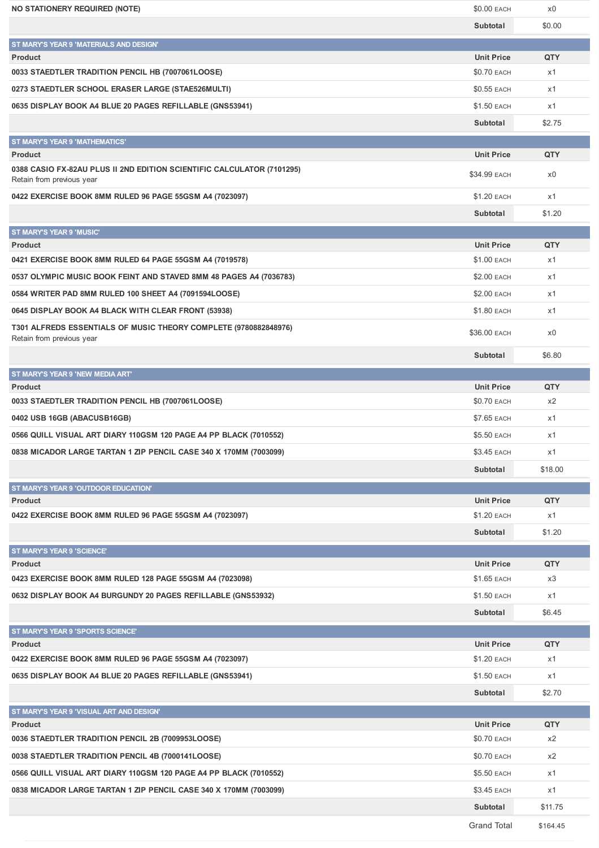| <b>NO STATIONERY REQUIRED (NOTE)</b>                                      | $$0.00$ EACH                     | x0        |
|---------------------------------------------------------------------------|----------------------------------|-----------|
|                                                                           | Subtotal                         | \$0.00    |
| ST MARY'S YEAR 9 'MATERIALS AND DESIGN'                                   |                                  |           |
| <b>Product</b>                                                            | <b>Unit Price</b>                | QTY       |
| 0033 STAEDTLER TRADITION PENCIL HB (7007061LOOSE)                         | \$0.70 EACH                      | x1        |
| 0273 STAEDTLER SCHOOL ERASER LARGE (STAE526MULTI)                         | \$0.55 EACH                      | x1        |
| 0635 DISPLAY BOOK A4 BLUE 20 PAGES REFILLABLE (GNS53941)                  | \$1.50 EACH                      | x1        |
|                                                                           | Subtotal                         | \$2.75    |
| <b>ST MARY'S YEAR 9 'MATHEMATICS'</b>                                     |                                  |           |
| <b>Product</b>                                                            | <b>Unit Price</b>                | QTY       |
| 0388 CASIO FX-82AU PLUS II 2ND EDITION SCIENTIFIC CALCULATOR (7101295)    |                                  |           |
| Retain from previous year                                                 | \$34.99 EACH                     | x0        |
| 0422 EXERCISE BOOK 8MM RULED 96 PAGE 55GSM A4 (7023097)                   | \$1.20 EACH                      | x1        |
|                                                                           | Subtotal                         | \$1.20    |
| ST MARY'S YEAR 9 'MUSIC'                                                  |                                  |           |
| <b>Product</b>                                                            | <b>Unit Price</b>                | QTY       |
| 0421 EXERCISE BOOK 8MM RULED 64 PAGE 55GSM A4 (7019578)                   | \$1.00 EACH                      | x1        |
| 0537 OLYMPIC MUSIC BOOK FEINT AND STAVED 8MM 48 PAGES A4 (7036783)        | \$2.00 EACH                      | x1        |
| 0584 WRITER PAD 8MM RULED 100 SHEET A4 (7091594LOOSE)                     | \$2.00 EACH                      | x1        |
| 0645 DISPLAY BOOK A4 BLACK WITH CLEAR FRONT (53938)                       | \$1.80 EACH                      | x1        |
| T301 ALFREDS ESSENTIALS OF MUSIC THEORY COMPLETE (9780882848976)          |                                  |           |
| Retain from previous year                                                 | \$36.00 EACH                     | x0        |
|                                                                           | Subtotal                         | \$6.80    |
| ST MARY'S YEAR 9 'NEW MEDIA ART'                                          |                                  |           |
| <b>Product</b>                                                            | <b>Unit Price</b>                | QTY       |
| 0033 STAEDTLER TRADITION PENCIL HB (7007061LOOSE)                         | \$0.70 EACH                      | x2        |
| 0402 USB 16GB (ABACUSB16GB)                                               | <b>\$7.65 EACH</b>               | x1        |
| 0566 QUILL VISUAL ART DIARY 110GSM 120 PAGE A4 PP BLACK (7010552)         | \$5.50 EACH                      | x1        |
| 0838 MICADOR LARGE TARTAN 1 ZIP PENCIL CASE 340 X 170MM (7003099)         | \$3.45 EACH                      | x1        |
|                                                                           |                                  |           |
|                                                                           | Subtotal                         | \$18.00   |
| ST MARY'S YEAR 9 'OUTDOOR EDUCATION'                                      |                                  |           |
| <b>Product</b><br>0422 EXERCISE BOOK 8MM RULED 96 PAGE 55GSM A4 (7023097) | <b>Unit Price</b><br>\$1.20 EACH | QTY<br>x1 |
|                                                                           |                                  |           |
|                                                                           | Subtotal                         | \$1.20    |
| <b>ST MARY'S YEAR 9 'SCIENCE'</b>                                         |                                  |           |
| <b>Product</b>                                                            | <b>Unit Price</b>                | QTY       |
| 0423 EXERCISE BOOK 8MM RULED 128 PAGE 55GSM A4 (7023098)                  | \$1.65 EACH                      | x3        |
| 0632 DISPLAY BOOK A4 BURGUNDY 20 PAGES REFILLABLE (GNS53932)              | \$1.50 EACH                      | x1        |
|                                                                           | Subtotal                         | \$6.45    |
| ST MARY'S YEAR 9 'SPORTS SCIENCE'                                         |                                  |           |
| <b>Product</b>                                                            | <b>Unit Price</b>                | QTY       |
| 0422 EXERCISE BOOK 8MM RULED 96 PAGE 55GSM A4 (7023097)                   | \$1.20 EACH                      | x1        |
| 0635 DISPLAY BOOK A4 BLUE 20 PAGES REFILLABLE (GNS53941)                  | \$1.50 EACH                      | x1        |
|                                                                           | Subtotal                         | \$2.70    |
| ST MARY'S YEAR 9 'VISUAL ART AND DESIGN'                                  |                                  |           |
| <b>Product</b>                                                            | <b>Unit Price</b>                | QTY       |
| 0036 STAEDTLER TRADITION PENCIL 2B (7009953LOOSE)                         | \$0.70 EACH                      | x2        |
|                                                                           |                                  |           |
| 0038 STAEDTLER TRADITION PENCIL 4B (7000141LOOSE)                         | \$0.70 EACH                      | x2        |
| 0566 QUILL VISUAL ART DIARY 110GSM 120 PAGE A4 PP BLACK (7010552)         | \$5.50 EACH                      | x1        |
| 0838 MICADOR LARGE TARTAN 1 ZIP PENCIL CASE 340 X 170MM (7003099)         | \$3.45 EACH                      | x1        |
|                                                                           | Subtotal                         | \$11.75   |